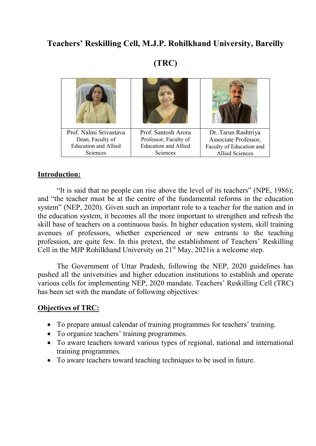# Teachers' Reskilling Cell, M.J.P. Rohilkhand University, Bareilly

# (TRC)

| Prof. Nalini Srivastava     | Prof. Santosh Arora         | Dr. Tarun Rashtriya      |
|-----------------------------|-----------------------------|--------------------------|
| Dean, Faculty of            | Professor, Faculty of       | Associate Professor,     |
| <b>Education and Allied</b> | <b>Education and Allied</b> | Faculty of Education and |
| Sciences                    | Sciences                    | <b>Allied Sciences</b>   |

## Introduction:

"It is said that no people can rise above the level of its teachers" (NPE, 1986); and "the teacher must be at the centre of the fundamental reforms in the education system" (NEP, 2020). Given such an important role to a teacher for the nation and in the education system, it becomes all the more important to strengthen and refresh the skill base of teachers on a continuous basis. In higher education system, skill training avenues of professors, whether experienced or new entrants to the teaching profession, are quite few. In this pretext, the establishment of Teachers' Reskilling Cell in the MJP Rohilkhand University on  $21<sup>st</sup>$  May, 2021 is a welcome step.

The Government of Uttar Pradesh, following the NEP, 2020 guidelines has pushed all the universities and higher education institutions to establish and operate various cells for implementing NEP, 2020 mandate. Teachers' Reskilling Cell (TRC) has been set with the mandate of following objectives:

#### Objectives of TRC:

- To prepare annual calendar of training programmes for teachers' training.
- To organize teachers' training programmes.
- To aware teachers toward various types of regional, national and international training programmes.
- To aware teachers toward teaching techniques to be used in future.